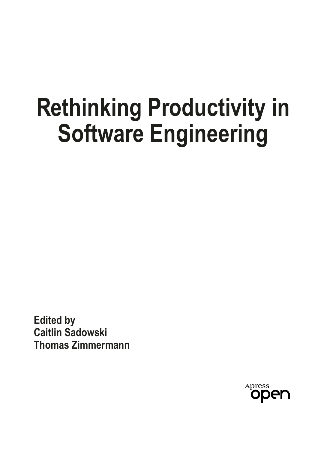# **Rethinking Productivity in Software Engineering**

**Edited by Caitlin Sadowski Thomas Zimmermann**

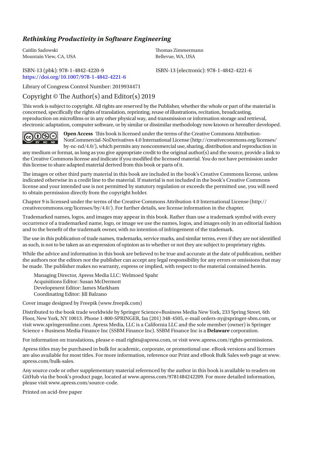#### *Rethinking Productivity in Software Engineering*

Caitlin Sadowski Mountain View, CA, USA

## <https://doi.org/10.1007/978-1-4842-4221-6>

Tomas Zimmermann Bellevue, WA, USA

ISBN-13 (pbk): 978-1-4842-4220-9 ISBN-13 (electronic): 978-1-4842-4221-6

Library of Congress Control Number: 2019934471

#### Copyright  $\odot$  The Author(s) and Editor(s) 2019

Tis work is subject to copyright. All rights are reserved by the Publisher, whether the whole or part of the material is concerned, specifcally the rights of translation, reprinting, reuse of illustrations, recitation, broadcasting, reproduction on microflms or in any other physical way, and transmission or information storage and retrieval, electronic adaptation, computer software, or by similar or dissimilar methodology now known or hereafter developed.



**Open Access** This book is licensed under the terms of the Creative Commons Attribution-NonCommercial-NoDerivatives 4.0 International License (http://creativecommons.org/licenses/ by-nc-nd/4.0/), which permits any noncommercial use,sharing, distribution and reproduction in

any medium or format, as long as you give appropriate credit to the original author(s) and the source, provide a link to the Creative Commons license and indicate if you modifed the licensed material. You do not have permission under this license to share adapted material derived from this book or parts of it.

The images or other third party material in this book are included in the book's Creative Commons license, unless indicated otherwise in a credit line to the material. If material is not included in the book's Creative Commons license and your intended use is not permitted by statutory regulation or exceeds the permitted use, you will need to obtain permission directly from the copyright holder.

Chapter 9 is licensed under the terms of the Creative Commons Attribution 4.0 International License (http:// creativecommons.org/licenses/by/4.0/). For further details, see license information in the chapter.

Trademarked names, logos, and images may appear in this book. Rather than use a trademark symbol with every occurrence of a trademarked name, logo, or image we use the names, logos, and images only in an editorial fashion and to the beneft of the trademark owner, with no intention of infringement of the trademark.

The use in this publication of trade names, trademarks, service marks, and similar terms, even if they are not identified as such, is not to be taken as an expression of opinion as to whether or not they are subject to proprietary rights.

While the advice and information in this book are believed to be true and accurate at the date of publication, neither the authors nor the editors nor the publisher can accept any legal responsibility for any errors or omissions that may be made. The publisher makes no warranty, express or implied, with respect to the material contained herein.

Managing Director, Apress Media LLC: Welmoed Spahr Acquisitions Editor: Susan McDermott Development Editor: James Markham Coordinating Editor: Jill Balzano

Cover image designed by Freepik (www.freepik.com)

Distributed to the book trade worldwide by Springer Science+Business Media New York, 233 Spring Street, 6th Floor, New York, NY 10013. Phone 1-800-SPRINGER, fax (201) 348-4505, e-mail orders-ny@springer-sbm.com, or visit www.springeronline.com. Apress Media, LLC is a California LLC and the sole member (owner) is Springer Science + Business Media Finance Inc (SSBM Finance Inc). SSBM Finance Inc is a **Delaware** corporation.

For information on translations, please e-mail rights@apress.com, or visit www.apress.com/rights-permissions.

Apress titles may be purchased in bulk for academic, corporate, or promotional use. eBook versions and licenses are also available for most titles. For more information, reference our Print and eBook Bulk Sales web page at www. apress.com/bulk-sales.

Any source code or other supplementary material referenced by the author in this book is available to readers on GitHub via the book's product page, located at www.apress.com/9781484242209. For more detailed information, please visit www.apress.com/source-code.

Printed on acid-free paper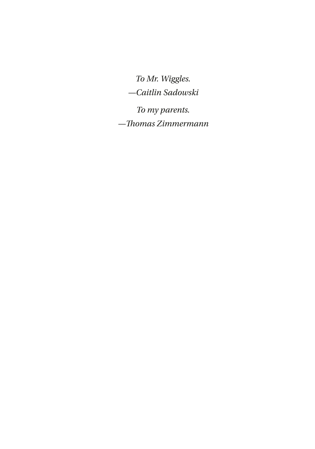*To Mr. Wiggles.*

*—Caitlin Sadowski*

*To my parents. —Tomas Zimmermann*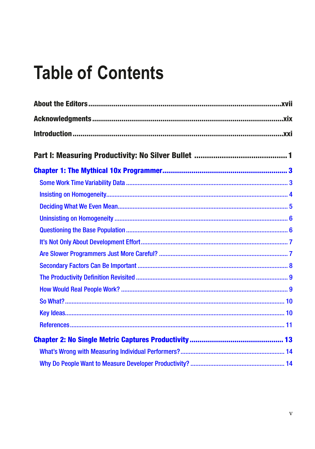# **Table of Contents**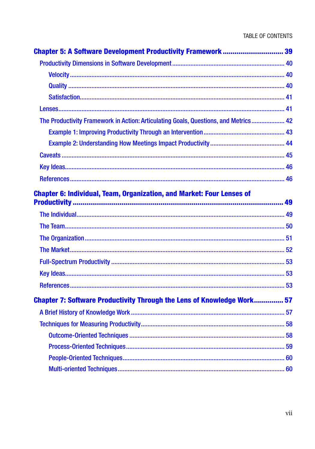| <b>Chapter 5: A Software Development Productivity Framework  39</b>                 |    |
|-------------------------------------------------------------------------------------|----|
|                                                                                     |    |
|                                                                                     |    |
|                                                                                     |    |
|                                                                                     |    |
|                                                                                     |    |
| The Productivity Framework in Action: Articulating Goals, Questions, and Metrics 42 |    |
|                                                                                     |    |
|                                                                                     |    |
|                                                                                     |    |
|                                                                                     |    |
|                                                                                     |    |
| <b>Chapter 6: Individual, Team, Organization, and Market: Four Lenses of</b>        |    |
|                                                                                     |    |
|                                                                                     |    |
|                                                                                     |    |
|                                                                                     |    |
|                                                                                     |    |
|                                                                                     |    |
|                                                                                     |    |
| <b>Chapter 7: Software Productivity Through the Lens of Knowledge Work 57</b>       |    |
|                                                                                     |    |
| Techniques for Measuring Productivity                                               | 58 |
|                                                                                     |    |
|                                                                                     |    |
|                                                                                     |    |
|                                                                                     |    |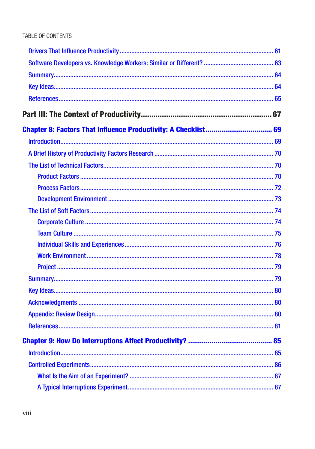| 81 |
|----|
|    |
|    |
|    |
|    |
|    |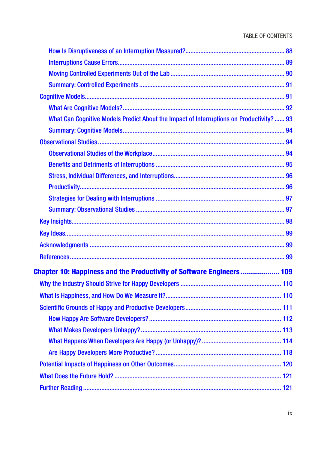| What Can Cognitive Models Predict About the Impact of Interruptions on Productivity?  93 |  |
|------------------------------------------------------------------------------------------|--|
|                                                                                          |  |
|                                                                                          |  |
|                                                                                          |  |
|                                                                                          |  |
|                                                                                          |  |
|                                                                                          |  |
|                                                                                          |  |
|                                                                                          |  |
|                                                                                          |  |
|                                                                                          |  |
|                                                                                          |  |
|                                                                                          |  |
|                                                                                          |  |
| <b>Chapter 10: Happiness and the Productivity of Software Engineers 109</b>              |  |
|                                                                                          |  |
|                                                                                          |  |
|                                                                                          |  |
|                                                                                          |  |
|                                                                                          |  |
|                                                                                          |  |
|                                                                                          |  |
|                                                                                          |  |
|                                                                                          |  |
|                                                                                          |  |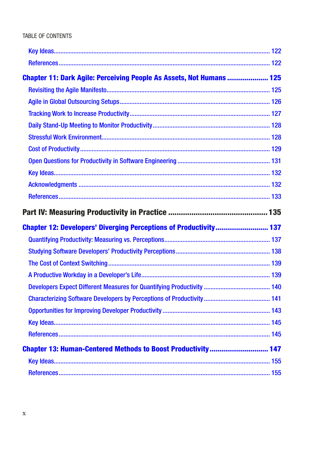| <b>Chapter 11: Dark Agile: Perceiving People As Assets, Not Humans  125</b> |  |
|-----------------------------------------------------------------------------|--|
|                                                                             |  |
|                                                                             |  |
|                                                                             |  |
|                                                                             |  |
|                                                                             |  |
|                                                                             |  |
|                                                                             |  |
|                                                                             |  |
|                                                                             |  |
|                                                                             |  |
|                                                                             |  |
|                                                                             |  |
| <b>Chapter 12: Developers' Diverging Perceptions of Productivity 137</b>    |  |
|                                                                             |  |
|                                                                             |  |
|                                                                             |  |
|                                                                             |  |
|                                                                             |  |
|                                                                             |  |
|                                                                             |  |
|                                                                             |  |
|                                                                             |  |
| <b>Chapter 13: Human-Centered Methods to Boost Productivity 147</b>         |  |
|                                                                             |  |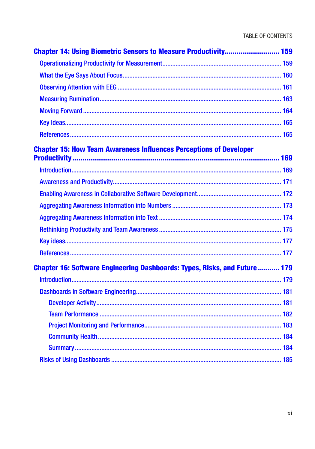| <b>Chapter 14: Using Biometric Sensors to Measure Productivity 159</b>            |  |
|-----------------------------------------------------------------------------------|--|
|                                                                                   |  |
|                                                                                   |  |
|                                                                                   |  |
|                                                                                   |  |
|                                                                                   |  |
|                                                                                   |  |
|                                                                                   |  |
| <b>Chapter 15: How Team Awareness Influences Perceptions of Developer</b>         |  |
|                                                                                   |  |
|                                                                                   |  |
|                                                                                   |  |
|                                                                                   |  |
|                                                                                   |  |
|                                                                                   |  |
|                                                                                   |  |
|                                                                                   |  |
| <b>Chapter 16: Software Engineering Dashboards: Types, Risks, and Future  179</b> |  |
|                                                                                   |  |
|                                                                                   |  |
|                                                                                   |  |
|                                                                                   |  |
|                                                                                   |  |
|                                                                                   |  |
|                                                                                   |  |
|                                                                                   |  |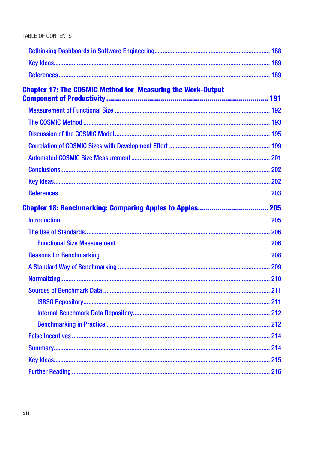| <b>Chapter 17: The COSMIC Method for Measuring the Work-Output</b> |  |
|--------------------------------------------------------------------|--|
|                                                                    |  |
|                                                                    |  |
|                                                                    |  |
|                                                                    |  |
|                                                                    |  |
|                                                                    |  |
|                                                                    |  |
|                                                                    |  |
|                                                                    |  |
|                                                                    |  |
|                                                                    |  |
|                                                                    |  |
|                                                                    |  |
|                                                                    |  |
|                                                                    |  |
|                                                                    |  |
|                                                                    |  |
|                                                                    |  |
|                                                                    |  |
|                                                                    |  |
|                                                                    |  |
|                                                                    |  |
|                                                                    |  |
|                                                                    |  |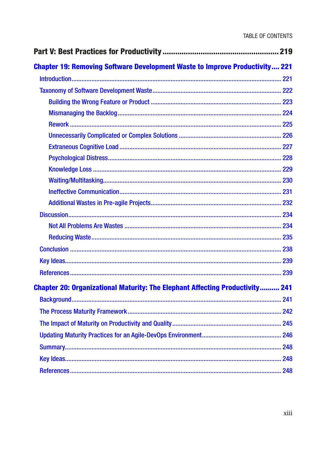| <b>Chapter 19: Removing Software Development Waste to Improve Productivity 221</b>  |     |
|-------------------------------------------------------------------------------------|-----|
|                                                                                     |     |
|                                                                                     |     |
|                                                                                     |     |
|                                                                                     |     |
|                                                                                     |     |
|                                                                                     |     |
|                                                                                     |     |
|                                                                                     |     |
|                                                                                     |     |
|                                                                                     |     |
|                                                                                     |     |
|                                                                                     |     |
|                                                                                     |     |
|                                                                                     |     |
|                                                                                     |     |
|                                                                                     |     |
|                                                                                     |     |
|                                                                                     |     |
| <b>Chapter 20: Organizational Maturity: The Elephant Affecting Productivity 241</b> |     |
|                                                                                     |     |
|                                                                                     |     |
|                                                                                     |     |
|                                                                                     | 246 |
|                                                                                     | 248 |
|                                                                                     | 248 |
|                                                                                     |     |
|                                                                                     |     |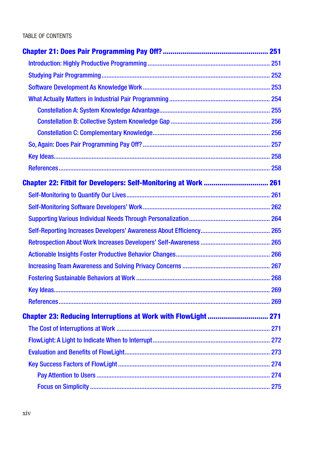| Chapter 22: Fitbit for Developers: Self-Monitoring at Work  261       |  |
|-----------------------------------------------------------------------|--|
|                                                                       |  |
|                                                                       |  |
|                                                                       |  |
|                                                                       |  |
|                                                                       |  |
|                                                                       |  |
|                                                                       |  |
|                                                                       |  |
|                                                                       |  |
|                                                                       |  |
| <b>Chapter 23: Reducing Interruptions at Work with FlowLight  271</b> |  |
|                                                                       |  |
|                                                                       |  |
|                                                                       |  |
|                                                                       |  |
|                                                                       |  |
|                                                                       |  |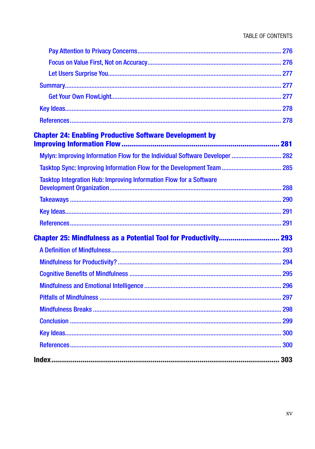| <b>Chapter 24: Enabling Productive Software Development by</b>               |  |
|------------------------------------------------------------------------------|--|
| Mylyn: Improving Information Flow for the Individual Software Developer  282 |  |
|                                                                              |  |
| Tasktop Integration Hub: Improving Information Flow for a Software           |  |
|                                                                              |  |
|                                                                              |  |
|                                                                              |  |
|                                                                              |  |
|                                                                              |  |
|                                                                              |  |
|                                                                              |  |
|                                                                              |  |
|                                                                              |  |
|                                                                              |  |
|                                                                              |  |
|                                                                              |  |
|                                                                              |  |
|                                                                              |  |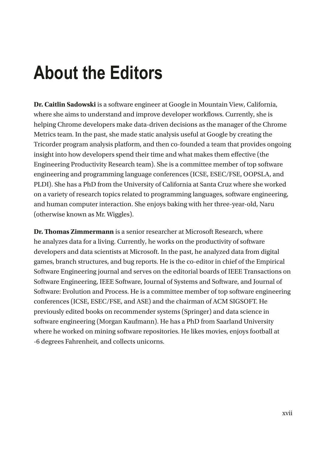# **About the Editors**

**Dr. Caitlin Sadowski** is a software engineer at Google in Mountain View, California, where she aims to understand and improve developer workflows. Currently, she is helping Chrome developers make data-driven decisions as the manager of the Chrome Metrics team. In the past, she made static analysis useful at Google by creating the Tricorder program analysis platform, and then co-founded a team that provides ongoing insight into how developers spend their time and what makes them effective (the Engineering Productivity Research team). She is a committee member of top software engineering and programming language conferences (ICSE, ESEC/FSE, OOPSLA, and PLDI). She has a PhD from the University of California at Santa Cruz where she worked on a variety of research topics related to programming languages, software engineering, and human computer interaction. She enjoys baking with her three-year-old, Naru (otherwise known as Mr. Wiggles).

**Dr. Thomas Zimmermann** is a senior researcher at Microsoft Research, where he analyzes data for a living. Currently, he works on the productivity of software developers and data scientists at Microsoft. In the past, he analyzed data from digital games, branch structures, and bug reports. He is the co-editor in chief of the Empirical Software Engineering journal and serves on the editorial boards of IEEE Transactions on Software Engineering, IEEE Software, Journal of Systems and Software, and Journal of Software: Evolution and Process. He is a committee member of top software engineering conferences (ICSE, ESEC/FSE, and ASE) and the chairman of ACM SIGSOFT. He previously edited books on recommender systems (Springer) and data science in software engineering (Morgan Kaufmann). He has a PhD from Saarland University where he worked on mining software repositories. He likes movies, enjoys football at -6 degrees Fahrenheit, and collects unicorns.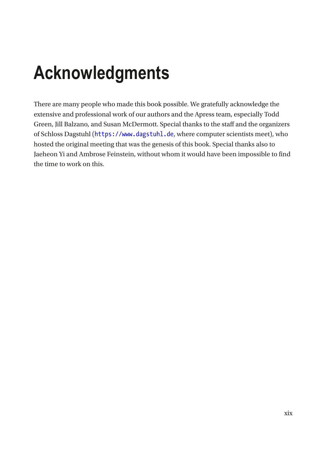# **Acknowledgments**

There are many people who made this book possible. We gratefully acknowledge the extensive and professional work of our authors and the Apress team, especially Todd Green, Jill Balzano, and Susan McDermott. Special thanks to the staff and the organizers of Schloss Dagstuhl ([https://www.dagstuhl.de](https://www.dagstuhl.de/), where computer scientists meet), who hosted the original meeting that was the genesis of this book. Special thanks also to Jaeheon Yi and Ambrose Feinstein, without whom it would have been impossible to find the time to work on this.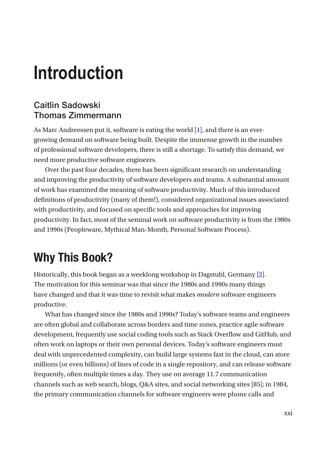### Caitlin Sadowski Thomas Zimmermann

As Marc Andreessen put it, software is eating the world  $[1]$  $[1]$  $[1]$ , and there is an evergrowing demand on software being built. Despite the immense growth in the number of professional software developers, there is still a shortage. To satisfy this demand, we need more productive software engineers.

Over the past four decades, there has been significant research on understanding and improving the productivity of software developers and teams. A substantial amount of work has examined the meaning of software productivity. Much of this introduced definitions of productivity (many of them!), considered organizational issues associated with productivity, and focused on specific tools and approaches for improving productivity. In fact, most of the seminal work on software productivity is from the 1980s and 1990s (Peopleware, Mythical Man-Month, Personal Software Process).

# Why This Book?

Historically, this book began as a weeklong workshop in Dagstuhl, Germany [\[2\]](#page-22-1). The motivation for this seminar was that since the 1980s and 1990s many things have changed and that it was time to revisit what makes *modern* software engineers productive.

What has changed since the 1980s and 1990s? Today's software teams and engineers are often global and collaborate across borders and time zones, practice agile software development, frequently use social coding tools such as Stack Overflow and GitHub, and often work on laptops or their own personal devices. Today's software engineers must deal with unprecedented complexity, can build large systems fast in the cloud, can store millions (or even billions) of lines of code in a single repository, and can release software frequently, often multiple times a day. They use on average 11.7 communication channels such as web search, blogs, Q&A sites, and social networking sites [85]; in 1984, the primary communication channels for software engineers were phone calls and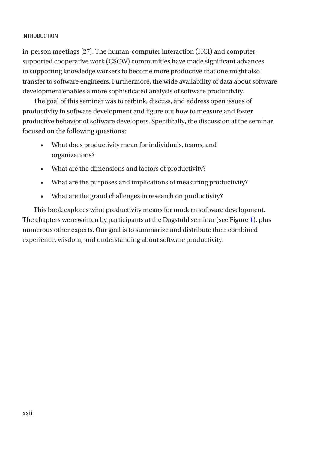in-person meetings [27]. The human-computer interaction (HCI) and computersupported cooperative work (CSCW) communities have made significant advances in supporting knowledge workers to become more productive that one might also transfer to software engineers. Furthermore, the wide availability of data about software development enables a more sophisticated analysis of software productivity.

The goal of this seminar was to rethink, discuss, and address open issues of productivity in software development and figure out how to measure and foster productive behavior of software developers. Specifically, the discussion at the seminar focused on the following questions:

- What does productivity mean for individuals, teams, and organizations?
- What are the dimensions and factors of productivity?
- What are the purposes and implications of measuring productivity?
- What are the grand challenges in research on productivity?

This book explores what productivity means for modern software development. The chapters were written by participants at the Dagstuhl seminar (see Figure [1](#page-18-0)), plus numerous other experts. Our goal is to summarize and distribute their combined experience, wisdom, and understanding about software productivity.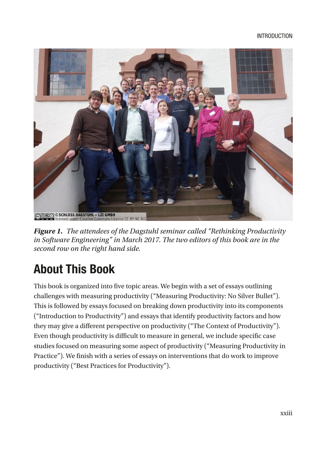<span id="page-18-0"></span>

*Figure 1. The attendees of the Dagstuhl seminar called "Rethinking Productivity in Software Engineering" in March 2017. The two editors of this book are in the second row on the right hand side.*

# About This Book

This book is organized into five topic areas. We begin with a set of essays outlining challenges with measuring productivity ("Measuring Productivity: No Silver Bullet"). This is followed by essays focused on breaking down productivity into its components ("Introduction to Productivity") and essays that identify productivity factors and how they may give a different perspective on productivity ("The Context of Productivity"). Even though productivity is difficult to measure in general, we include specific case studies focused on measuring some aspect of productivity ("Measuring Productivity in Practice"). We finish with a series of essays on interventions that do work to improve productivity ("Best Practices for Productivity").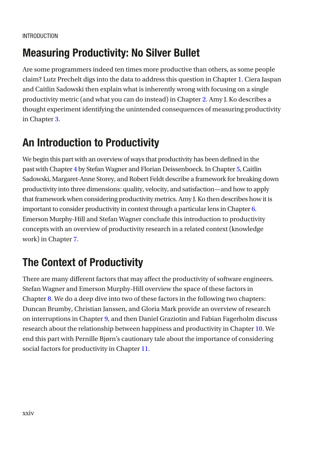## Measuring Productivity: No Silver Bullet

Are some programmers indeed ten times more productive than others, as some people claim? Lutz Prechelt digs into the data to address this question in Chapter [1](https://doi.org/10.1007/978-1-4842-4221-6_1). Ciera Jaspan and Caitlin Sadowski then explain what is inherently wrong with focusing on a single productivity metric (and what you can do instead) in Chapter [2](https://doi.org/10.1007/978-1-4842-4221-6_2). Amy J. Ko describes a thought experiment identifying the unintended consequences of measuring productivity in Chapter [3](https://doi.org/10.1007/978-1-4842-4221-6_3).

## An Introduction to Productivity

We begin this part with an overview of ways that productivity has been defined in the past with Chapter [4](https://doi.org/10.1007/978-1-4842-4221-6_4) by Stefan Wagner and Florian Deissenboeck. In Chapter [5,](https://doi.org/10.1007/978-1-4842-4221-6_5) Caitlin Sadowski, Margaret-Anne Storey, and Robert Feldt describe a framework for breaking down productivity into three dimensions: quality, velocity, and satisfaction—and how to apply that framework when considering productivity metrics. Amy J. Ko then describes how it is important to consider productivity in context through a particular lens in Chapter [6.](https://doi.org/10.1007/978-1-4842-4221-6_6) Emerson Murphy-Hill and Stefan Wagner conclude this introduction to productivity concepts with an overview of productivity research in a related context (knowledge work) in Chapter [7](https://doi.org/10.1007/978-1-4842-4221-6_7).

# The Context of Productivity

There are many different factors that may affect the productivity of software engineers. Stefan Wagner and Emerson Murphy-Hill overview the space of these factors in Chapter [8.](https://doi.org/10.1007/978-1-4842-4221-6_8) We do a deep dive into two of these factors in the following two chapters: Duncan Brumby, Christian Janssen, and Gloria Mark provide an overview of research on interruptions in Chapter [9,](https://doi.org/10.1007/978-1-4842-4221-6_9) and then Daniel Graziotin and Fabian Fagerholm discuss research about the relationship between happiness and productivity in Chapter [10.](https://doi.org/10.1007/978-1-4842-4221-6_10) We end this part with Pernille Bjørn's cautionary tale about the importance of considering social factors for productivity in Chapter [11](https://doi.org/10.1007/978-1-4842-4221-6_11).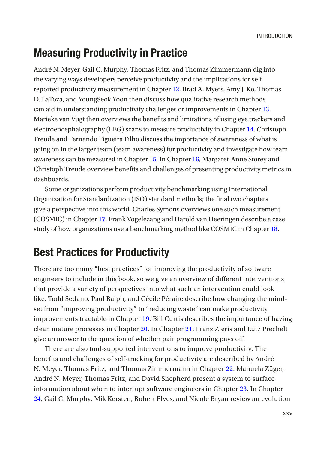### Measuring Productivity in Practice

André N. Meyer, Gail C. Murphy, Thomas Fritz, and Thomas Zimmermann dig into the varying ways developers perceive productivity and the implications for selfreported productivity measurement in Chapter [12.](https://doi.org/10.1007/978-1-4842-4221-6_12) Brad A. Myers, Amy J. Ko, Thomas D. LaToza, and YoungSeok Yoon then discuss how qualitative research methods can aid in understanding productivity challenges or improvements in Chapter [13.](https://doi.org/10.1007/978-1-4842-4221-6_13) Marieke van Vugt then overviews the benefits and limitations of using eye trackers and electroencephalography (EEG) scans to measure productivity in Chapter [14.](https://doi.org/10.1007/978-1-4842-4221-6_14) Christoph Treude and Fernando Figueira Filho discuss the importance of awareness of what is going on in the larger team (team awareness) for productivity and investigate how team awareness can be measured in Chapter [15](https://doi.org/10.1007/978-1-4842-4221-6_15). In Chapter [16,](https://doi.org/10.1007/978-1-4842-4221-6_16) Margaret-Anne Storey and Christoph Treude overview benefits and challenges of presenting productivity metrics in dashboards.

Some organizations perform productivity benchmarking using International Organization for Standardization (ISO) standard methods; the final two chapters give a perspective into this world. Charles Symons overviews one such measurement (COSMIC) in Chapter [17.](https://doi.org/10.1007/978-1-4842-4221-6_17) Frank Vogelezang and Harold van Heeringen describe a case study of how organizations use a benchmarking method like COSMIC in Chapter [18](https://doi.org/10.1007/978-1-4842-4221-6_18).

### Best Practices for Productivity

There are too many "best practices" for improving the productivity of software engineers to include in this book, so we give an overview of different interventions that provide a variety of perspectives into what such an intervention could look like. Todd Sedano, Paul Ralph, and Cécile Péraire describe how changing the mindset from "improving productivity" to "reducing waste" can make productivity improvements tractable in Chapter [19](https://doi.org/10.1007/978-1-4842-4221-6_19). Bill Curtis describes the importance of having clear, mature processes in Chapter [20](https://doi.org/10.1007/978-1-4842-4221-6_20). In Chapter [21](https://doi.org/10.1007/978-1-4842-4221-6_21), Franz Zieris and Lutz Prechelt give an answer to the question of whether pair programming pays off.

There are also tool-supported interventions to improve productivity. The benefits and challenges of self-tracking for productivity are described by André N. Meyer, Thomas Fritz, and Thomas Zimmermann in Chapter [22](https://doi.org/10.1007/978-1-4842-4221-6_22). Manuela Züger, André N. Meyer, Thomas Fritz, and David Shepherd present a system to surface information about when to interrupt software engineers in Chapter [23](https://doi.org/10.1007/978-1-4842-4221-6_23). In Chapter [24](https://doi.org/10.1007/978-1-4842-4221-6_24), Gail C. Murphy, Mik Kersten, Robert Elves, and Nicole Bryan review an evolution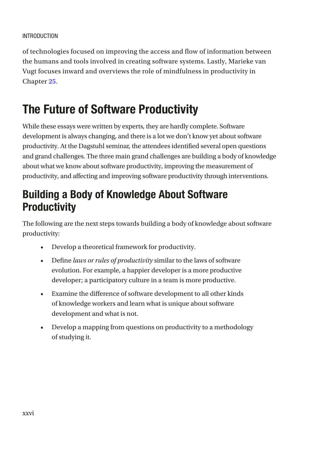of technologies focused on improving the access and flow of information between the humans and tools involved in creating software systems. Lastly, Marieke van Vugt focuses inward and overviews the role of mindfulness in productivity in Chapter [25](https://doi.org/10.1007/978-1-4842-4221-6_25).

# The Future of Software Productivity

While these essays were written by experts, they are hardly complete. Software development is always changing, and there is a lot we don't know yet about software productivity. At the Dagstuhl seminar, the attendees identified several open questions and grand challenges. The three main grand challenges are building a body of knowledge about what we know about software productivity, improving the measurement of productivity, and affecting and improving software productivity through interventions.

## Building a Body of Knowledge About Software **Productivity**

The following are the next steps towards building a body of knowledge about software productivity:

- Develop a theoretical framework for productivity.
- Defne *laws or rules of productivity* similar to the laws of software evolution. For example, a happier developer is a more productive developer; a participatory culture in a team is more productive.
- Examine the diference of software development to all other kinds of knowledge workers and learn what is unique about software development and what is not.
- Develop a mapping from questions on productivity to a methodology of studying it.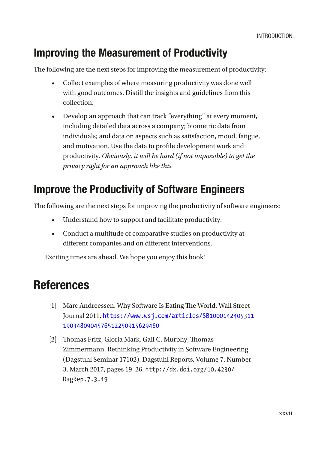## Improving the Measurement of Productivity

The following are the next steps for improving the measurement of productivity:

- Collect examples of where measuring productivity was done well with good outcomes. Distill the insights and guidelines from this collection.
- Develop an approach that can track "everything" at every moment, including detailed data across a company; biometric data from individuals; and data on aspects such as satisfaction, mood, fatigue, and motivation. Use the data to profle development work and productivity. *Obviously, it will be hard (if not impossible) to get the privacy right for an approach like this.*

### Improve the Productivity of Software Engineers

The following are the next steps for improving the productivity of software engineers:

- Understand how to support and facilitate productivity.
- Conduct a multitude of comparative studies on productivity at different companies and on different interventions.

Exciting times are ahead. We hope you enjoy this book!

## References

- <span id="page-22-0"></span>[1] Marc Andreessen. Why Software Is Eating The World. Wall Street Journal 2011. [https://www.wsj.com/articles/SB1000142405311](https://www.wsj.com/articles/SB10001424053111903480904576512250915629460) [1903480904576512250915629460](https://www.wsj.com/articles/SB10001424053111903480904576512250915629460)
- <span id="page-22-1"></span>[2] Thomas Fritz, Gloria Mark, Gail C. Murphy, Thomas Zimmermann. Rethinking Productivity in Software Engineering (Dagstuhl Seminar 17102). Dagstuhl Reports, Volume 7, Number 3, March 2017, pages 19–26. http://dx.doi.org/10.4230/ DagRep.7.3.19